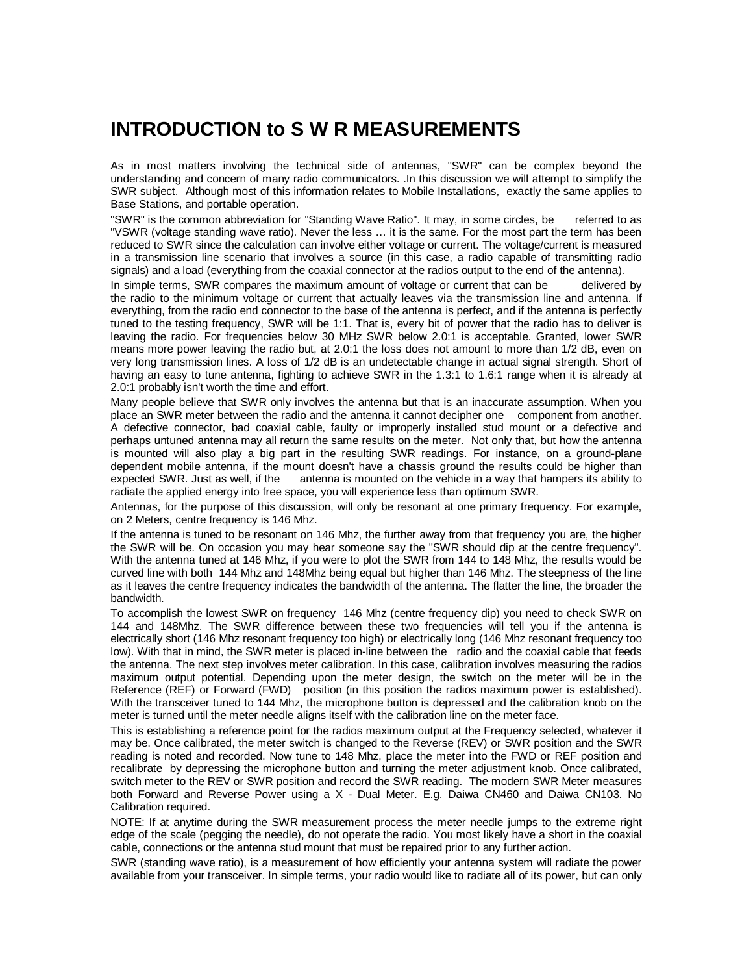# **INTRODUCTION to S W R MEASUREMENTS**

As in most matters involving the technical side of antennas, "SWR" can be complex beyond the understanding and concern of many radio communicators. .In this discussion we will attempt to simplify the SWR subject. Although most of this information relates to Mobile Installations, exactly the same applies to Base Stations, and portable operation.

"SWR" is the common abbreviation for "Standing Wave Ratio". It may, in some circles, be referred to as "VSWR (voltage standing wave ratio). Never the less … it is the same. For the most part the term has been reduced to SWR since the calculation can involve either voltage or current. The voltage/current is measured in a transmission line scenario that involves a source (in this case, a radio capable of transmitting radio signals) and a load (everything from the coaxial connector at the radios output to the end of the antenna).

In simple terms, SWR compares the maximum amount of voltage or current that can be delivered by the radio to the minimum voltage or current that actually leaves via the transmission line and antenna. If everything, from the radio end connector to the base of the antenna is perfect, and if the antenna is perfectly tuned to the testing frequency, SWR will be 1:1. That is, every bit of power that the radio has to deliver is leaving the radio. For frequencies below 30 MHz SWR below 2.0:1 is acceptable. Granted, lower SWR means more power leaving the radio but, at 2.0:1 the loss does not amount to more than 1/2 dB, even on very long transmission lines. A loss of 1/2 dB is an undetectable change in actual signal strength. Short of having an easy to tune antenna, fighting to achieve SWR in the 1.3:1 to 1.6:1 range when it is already at 2.0:1 probably isn't worth the time and effort.

Many people believe that SWR only involves the antenna but that is an inaccurate assumption. When you place an SWR meter between the radio and the antenna it cannot decipher one component from another. A defective connector, bad coaxial cable, faulty or improperly installed stud mount or a defective and perhaps untuned antenna may all return the same results on the meter. Not only that, but how the antenna is mounted will also play a big part in the resulting SWR readings. For instance, on a ground-plane dependent mobile antenna, if the mount doesn't have a chassis ground the results could be higher than expected SWR. Just as well, if the antenna is mounted on the vehicle in a way that hampers its ability to radiate the applied energy into free space, you will experience less than optimum SWR.

Antennas, for the purpose of this discussion, will only be resonant at one primary frequency. For example, on 2 Meters, centre frequency is 146 Mhz.

If the antenna is tuned to be resonant on 146 Mhz, the further away from that frequency you are, the higher the SWR will be. On occasion you may hear someone say the "SWR should dip at the centre frequency". With the antenna tuned at 146 Mhz, if you were to plot the SWR from 144 to 148 Mhz, the results would be curved line with both 144 Mhz and 148Mhz being equal but higher than 146 Mhz. The steepness of the line as it leaves the centre frequency indicates the bandwidth of the antenna. The flatter the line, the broader the bandwidth.

To accomplish the lowest SWR on frequency 146 Mhz (centre frequency dip) you need to check SWR on 144 and 148Mhz. The SWR difference between these two frequencies will tell you if the antenna is electrically short (146 Mhz resonant frequency too high) or electrically long (146 Mhz resonant frequency too low). With that in mind, the SWR meter is placed in-line between the radio and the coaxial cable that feeds the antenna. The next step involves meter calibration. In this case, calibration involves measuring the radios maximum output potential. Depending upon the meter design, the switch on the meter will be in the Reference (REF) or Forward (FWD) position (in this position the radios maximum power is established). With the transceiver tuned to 144 Mhz, the microphone button is depressed and the calibration knob on the meter is turned until the meter needle aligns itself with the calibration line on the meter face.

This is establishing a reference point for the radios maximum output at the Frequency selected, whatever it may be. Once calibrated, the meter switch is changed to the Reverse (REV) or SWR position and the SWR reading is noted and recorded. Now tune to 148 Mhz, place the meter into the FWD or REF position and recalibrate by depressing the microphone button and turning the meter adjustment knob. Once calibrated, switch meter to the REV or SWR position and record the SWR reading. The modern SWR Meter measures both Forward and Reverse Power using a X - Dual Meter. E.g. Daiwa CN460 and Daiwa CN103. No Calibration required.

NOTE: If at anytime during the SWR measurement process the meter needle jumps to the extreme right edge of the scale (pegging the needle), do not operate the radio. You most likely have a short in the coaxial cable, connections or the antenna stud mount that must be repaired prior to any further action.

SWR (standing wave ratio), is a measurement of how efficiently your antenna system will radiate the power available from your transceiver. In simple terms, your radio would like to radiate all of its power, but can only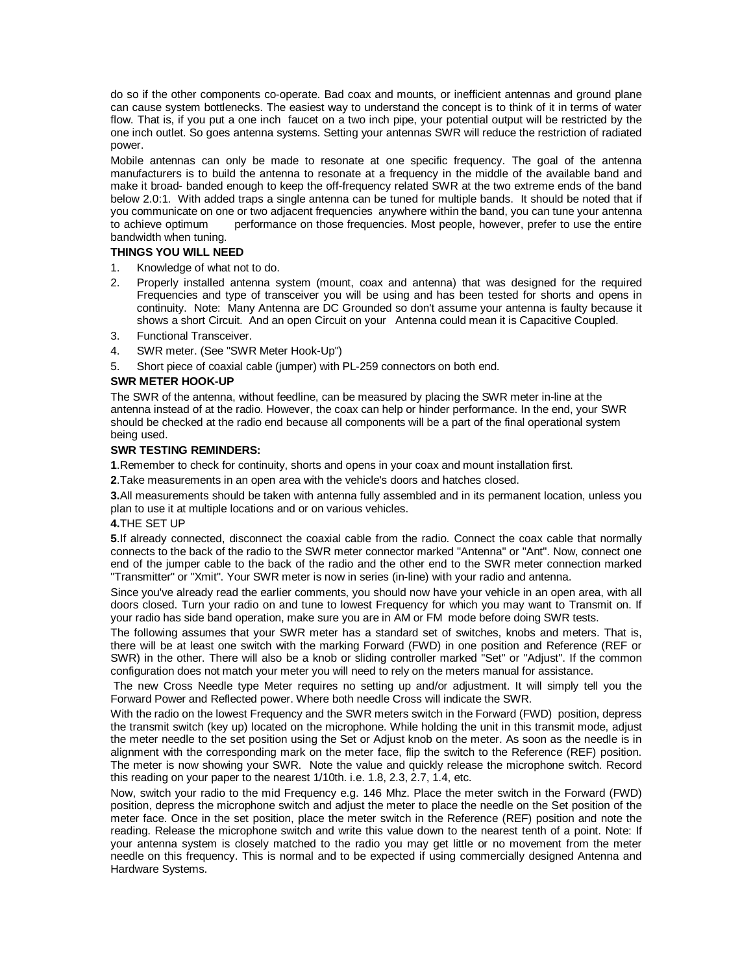do so if the other components co-operate. Bad coax and mounts, or inefficient antennas and ground plane can cause system bottlenecks. The easiest way to understand the concept is to think of it in terms of water flow. That is, if you put a one inch faucet on a two inch pipe, your potential output will be restricted by the one inch outlet. So goes antenna systems. Setting your antennas SWR will reduce the restriction of radiated power.

Mobile antennas can only be made to resonate at one specific frequency. The goal of the antenna manufacturers is to build the antenna to resonate at a frequency in the middle of the available band and make it broad- banded enough to keep the off-frequency related SWR at the two extreme ends of the band below 2.0:1. With added traps a single antenna can be tuned for multiple bands. It should be noted that if you communicate on one or two adjacent frequencies anywhere within the band, you can tune your antenna to achieve optimum performance on those frequencies. Most people, however, prefer to use the entire bandwidth when tuning.

### **THINGS YOU WILL NEED**

- 1. Knowledge of what not to do.
- 2. Properly installed antenna system (mount, coax and antenna) that was designed for the required Frequencies and type of transceiver you will be using and has been tested for shorts and opens in continuity. Note: Many Antenna are DC Grounded so don't assume your antenna is faulty because it shows a short Circuit. And an open Circuit on your Antenna could mean it is Capacitive Coupled.
- 3. Functional Transceiver.
- 4. SWR meter. (See "SWR Meter Hook-Up")
- 5. Short piece of coaxial cable (jumper) with PL-259 connectors on both end.

# **SWR METER HOOK-UP**

The SWR of the antenna, without feedline, can be measured by placing the SWR meter in-line at the antenna instead of at the radio. However, the coax can help or hinder performance. In the end, your SWR should be checked at the radio end because all components will be a part of the final operational system being used.

# **SWR TESTING REMINDERS:**

**1**.Remember to check for continuity, shorts and opens in your coax and mount installation first.

**2**.Take measurements in an open area with the vehicle's doors and hatches closed.

**3.**All measurements should be taken with antenna fully assembled and in its permanent location, unless you plan to use it at multiple locations and or on various vehicles.

### **4.**THE SET UP

**5**.If already connected, disconnect the coaxial cable from the radio. Connect the coax cable that normally connects to the back of the radio to the SWR meter connector marked "Antenna" or "Ant". Now, connect one end of the jumper cable to the back of the radio and the other end to the SWR meter connection marked "Transmitter" or "Xmit". Your SWR meter is now in series (in-line) with your radio and antenna.

Since you've already read the earlier comments, you should now have your vehicle in an open area, with all doors closed. Turn your radio on and tune to lowest Frequency for which you may want to Transmit on. If your radio has side band operation, make sure you are in AM or FM mode before doing SWR tests.

The following assumes that your SWR meter has a standard set of switches, knobs and meters. That is, there will be at least one switch with the marking Forward (FWD) in one position and Reference (REF or SWR) in the other. There will also be a knob or sliding controller marked "Set" or "Adjust". If the common configuration does not match your meter you will need to rely on the meters manual for assistance.

 The new Cross Needle type Meter requires no setting up and/or adjustment. It will simply tell you the Forward Power and Reflected power. Where both needle Cross will indicate the SWR.

With the radio on the lowest Frequency and the SWR meters switch in the Forward (FWD) position, depress the transmit switch (key up) located on the microphone. While holding the unit in this transmit mode, adjust the meter needle to the set position using the Set or Adjust knob on the meter. As soon as the needle is in alignment with the corresponding mark on the meter face, flip the switch to the Reference (REF) position. The meter is now showing your SWR. Note the value and quickly release the microphone switch. Record this reading on your paper to the nearest 1/10th. i.e. 1.8, 2.3, 2.7, 1.4, etc.

Now, switch your radio to the mid Frequency e.g. 146 Mhz. Place the meter switch in the Forward (FWD) position, depress the microphone switch and adjust the meter to place the needle on the Set position of the meter face. Once in the set position, place the meter switch in the Reference (REF) position and note the reading. Release the microphone switch and write this value down to the nearest tenth of a point. Note: If your antenna system is closely matched to the radio you may get little or no movement from the meter needle on this frequency. This is normal and to be expected if using commercially designed Antenna and Hardware Systems.